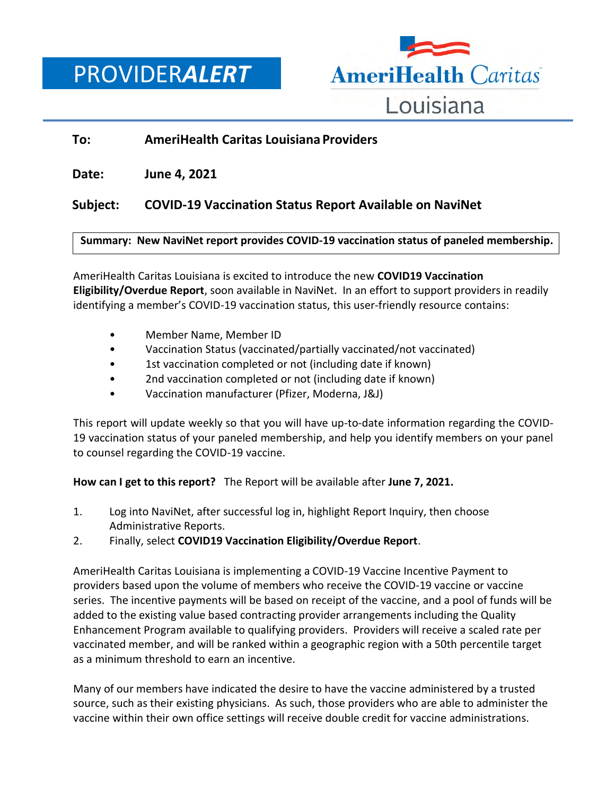PROVIDER*ALERT*



## **To: AmeriHealth Caritas Louisiana Providers**

**Date: June 4, 2021**

# **Subject: COVID-19 Vaccination Status Report Available on NaviNet**

### **Summary: New NaviNet report provides COVID-19 vaccination status of paneled membership.**

AmeriHealth Caritas Louisiana is excited to introduce the new **COVID19 Vaccination Eligibility/Overdue Report**, soon available in NaviNet. In an effort to support providers in readily identifying a member's COVID-19 vaccination status, this user-friendly resource contains:

- Member Name, Member ID
- Vaccination Status (vaccinated/partially vaccinated/not vaccinated)
- 1st vaccination completed or not (including date if known)
- 2nd vaccination completed or not (including date if known)
- Vaccination manufacturer (Pfizer, Moderna, J&J)

This report will update weekly so that you will have up-to-date information regarding the COVID-19 vaccination status of your paneled membership, and help you identify members on your panel to counsel regarding the COVID-19 vaccine.

**How can I get to this report?** The Report will be available after **June 7, 2021.**

- 1. Log into NaviNet, after successful log in, highlight Report Inquiry, then choose Administrative Reports.
- 2. Finally, select **COVID19 Vaccination Eligibility/Overdue Report**.

AmeriHealth Caritas Louisiana is implementing a COVID-19 Vaccine Incentive Payment to providers based upon the volume of members who receive the COVID-19 vaccine or vaccine series. The incentive payments will be based on receipt of the vaccine, and a pool of funds will be added to the existing value based contracting provider arrangements including the Quality Enhancement Program available to qualifying providers. Providers will receive a scaled rate per vaccinated member, and will be ranked within a geographic region with a 50th percentile target as a minimum threshold to earn an incentive.

Many of our members have indicated the desire to have the vaccine administered by a trusted source, such as their existing physicians. As such, those providers who are able to administer the vaccine within their own office settings will receive double credit for vaccine administrations.